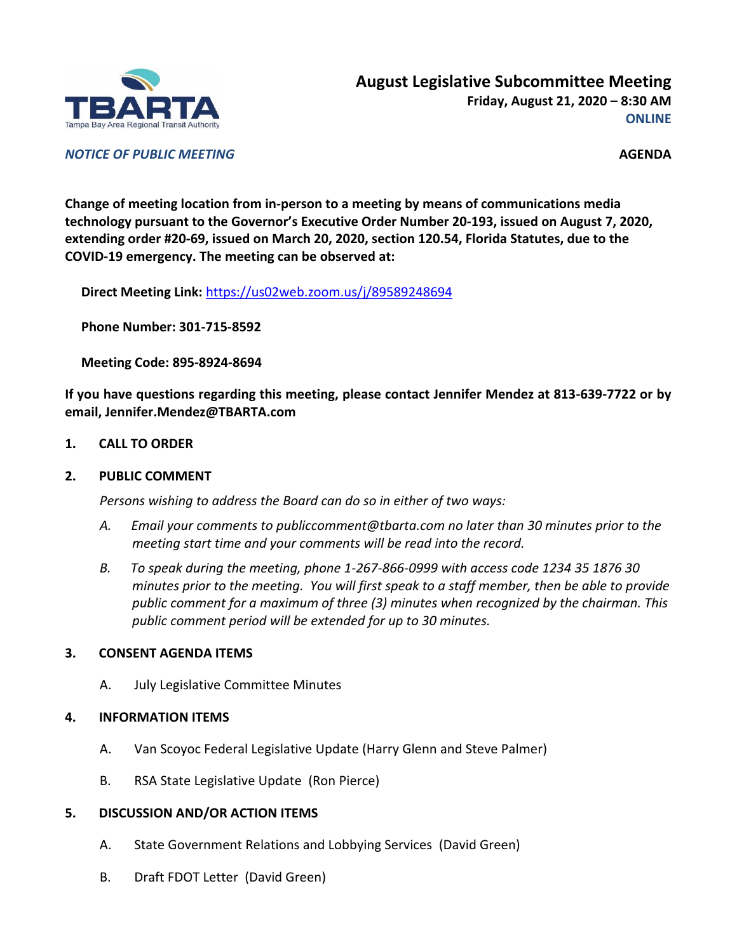

*NOTICE OF PUBLIC MEETING* **AGENDA**

**Change of meeting location from in-person to a meeting by means of communications media technology pursuant to the Governor's Executive Order Number 20-193, issued on August 7, 2020, extending order #20-69, issued on March 20, 2020, section 120.54, Florida Statutes, due to the COVID-19 emergency. The meeting can be observed at:**

**Direct Meeting Link:** <https://us02web.zoom.us/j/89589248694>

**Phone Number: 301-715-8592**

**Meeting Code: 895-8924-8694**

**If you have questions regarding this meeting, please contact Jennifer Mendez at 813-639-7722 or by email, Jennifer.Mendez@TBARTA.com**

**1. CALL TO ORDER**

### **2. PUBLIC COMMENT**

*Persons wishing to address the Board can do so in either of two ways:*

- *A. Email your comments to publiccomment@tbarta.com no later than 30 minutes prior to the meeting start time and your comments will be read into the record.*
- *B. To speak during the meeting, phone 1-267-866-0999 with access code 1234 35 1876 30 minutes prior to the meeting. You will first speak to a staff member, then be able to provide public comment for a maximum of three (3) minutes when recognized by the chairman. This public comment period will be extended for up to 30 minutes.*

## **3. CONSENT AGENDA ITEMS**

A. July Legislative Committee Minutes

## **4. INFORMATION ITEMS**

- A. Van Scoyoc Federal Legislative Update (Harry Glenn and Steve Palmer)
- B. RSA State Legislative Update (Ron Pierce)

## **5. DISCUSSION AND/OR ACTION ITEMS**

- A. State Government Relations and Lobbying Services (David Green)
- B. Draft FDOT Letter (David Green)